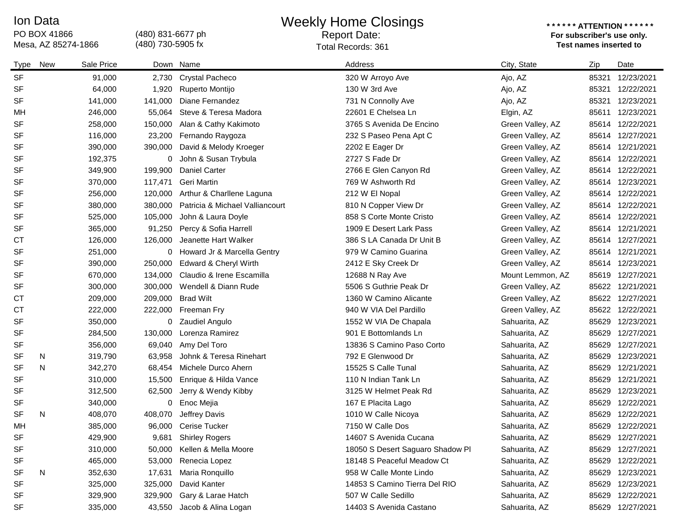## PO BOX 41866<br>Mesa, AZ 85274-1866 Ion Data

## (480) 831-6677 ph

(480) 730-5905 fx

Weekly Home Closings Report Date:

## **\* \* \* \* \* \* ATTENTION \* \* \* \* \* \* For subscriber's use only.**  Mesa, AZ 85274-1866 **Test names inserted to**  Total Records: 361

| Type      | New | Sale Price |         | Down Name                       | Address                          | City, State      | Zip   | Date             |
|-----------|-----|------------|---------|---------------------------------|----------------------------------|------------------|-------|------------------|
| <b>SF</b> |     | 91,000     | 2,730   | Crystal Pacheco                 | 320 W Arroyo Ave                 | Ajo, AZ          | 85321 | 12/23/2021       |
| <b>SF</b> |     | 64,000     | 1,920   | Ruperto Montijo                 | 130 W 3rd Ave                    | Ajo, AZ          | 85321 | 12/22/2021       |
| <b>SF</b> |     | 141,000    | 141,000 | Diane Fernandez                 | 731 N Connolly Ave               | Ajo, AZ          | 85321 | 12/23/2021       |
| MH        |     | 246,000    | 55,064  | Steve & Teresa Madora           | 22601 E Chelsea Ln               | Elgin, AZ        |       | 85611 12/23/2021 |
| <b>SF</b> |     | 258,000    | 150,000 | Alan & Cathy Kakimoto           | 3765 S Avenida De Encino         | Green Valley, AZ |       | 85614 12/22/2021 |
| <b>SF</b> |     | 116,000    | 23,200  | Fernando Raygoza                | 232 S Paseo Pena Apt C           | Green Valley, AZ |       | 85614 12/27/2021 |
| <b>SF</b> |     | 390,000    | 390,000 | David & Melody Kroeger          | 2202 E Eager Dr                  | Green Valley, AZ |       | 85614 12/21/2021 |
| <b>SF</b> |     | 192,375    | 0       | John & Susan Trybula            | 2727 S Fade Dr                   | Green Valley, AZ |       | 85614 12/22/2021 |
| <b>SF</b> |     | 349,900    | 199,900 | Daniel Carter                   | 2766 E Glen Canyon Rd            | Green Valley, AZ |       | 85614 12/22/2021 |
| <b>SF</b> |     | 370,000    | 117,471 | Geri Martin                     | 769 W Ashworth Rd                | Green Valley, AZ |       | 85614 12/23/2021 |
| <b>SF</b> |     | 256,000    | 120,000 | Arthur & Charllene Laguna       | 212 W El Nopal                   | Green Valley, AZ |       | 85614 12/22/2021 |
| <b>SF</b> |     | 380,000    | 380,000 | Patricia & Michael Valliancourt | 810 N Copper View Dr             | Green Valley, AZ |       | 85614 12/22/2021 |
| <b>SF</b> |     | 525,000    | 105,000 | John & Laura Doyle              | 858 S Corte Monte Cristo         | Green Valley, AZ |       | 85614 12/22/2021 |
| <b>SF</b> |     | 365,000    | 91,250  | Percy & Sofia Harrell           | 1909 E Desert Lark Pass          | Green Valley, AZ |       | 85614 12/21/2021 |
| <b>CT</b> |     | 126,000    | 126,000 | Jeanette Hart Walker            | 386 S LA Canada Dr Unit B        | Green Valley, AZ |       | 85614 12/27/2021 |
| <b>SF</b> |     | 251,000    | 0       | Howard Jr & Marcella Gentry     | 979 W Camino Guarina             | Green Valley, AZ |       | 85614 12/21/2021 |
| <b>SF</b> |     | 390,000    | 250,000 | Edward & Cheryl Wirth           | 2412 E Sky Creek Dr              | Green Valley, AZ |       | 85614 12/23/2021 |
| <b>SF</b> |     | 670,000    | 134,000 | Claudio & Irene Escamilla       | 12688 N Ray Ave                  | Mount Lemmon, AZ |       | 85619 12/27/2021 |
| <b>SF</b> |     | 300,000    | 300,000 | Wendell & Diann Rude            | 5506 S Guthrie Peak Dr           | Green Valley, AZ |       | 85622 12/21/2021 |
| <b>CT</b> |     | 209,000    | 209,000 | <b>Brad Wilt</b>                | 1360 W Camino Alicante           | Green Valley, AZ |       | 85622 12/27/2021 |
| <b>CT</b> |     | 222,000    | 222,000 | Freeman Fry                     | 940 W VIA Del Pardillo           | Green Valley, AZ |       | 85622 12/22/2021 |
| <b>SF</b> |     | 350,000    | 0       | Zaudiel Angulo                  | 1552 W VIA De Chapala            | Sahuarita, AZ    |       | 85629 12/23/2021 |
| <b>SF</b> |     | 284,500    | 130,000 | Lorenza Ramirez                 | 901 E Bottomlands Ln             | Sahuarita, AZ    |       | 85629 12/27/2021 |
| <b>SF</b> |     | 356,000    | 69,040  | Amy Del Toro                    | 13836 S Camino Paso Corto        | Sahuarita, AZ    |       | 85629 12/27/2021 |
| <b>SF</b> | N   | 319,790    | 63,958  | Johnk & Teresa Rinehart         | 792 E Glenwood Dr                | Sahuarita, AZ    |       | 85629 12/23/2021 |
| <b>SF</b> | N   | 342,270    | 68,454  | Michele Durco Ahern             | 15525 S Calle Tunal              | Sahuarita, AZ    |       | 85629 12/21/2021 |
| <b>SF</b> |     | 310,000    | 15,500  | Enrique & Hilda Vance           | 110 N Indian Tank Ln             | Sahuarita, AZ    | 85629 | 12/21/2021       |
| <b>SF</b> |     | 312,500    | 62,500  | Jerry & Wendy Kibby             | 3125 W Helmet Peak Rd            | Sahuarita, AZ    | 85629 | 12/23/2021       |
| <b>SF</b> |     | 340,000    | 0       | Enoc Mejia                      | 167 E Placita Lago               | Sahuarita, AZ    |       | 85629 12/22/2021 |
| <b>SF</b> | N   | 408,070    | 408,070 | Jeffrey Davis                   | 1010 W Calle Nicoya              | Sahuarita, AZ    |       | 85629 12/22/2021 |
| MH        |     | 385,000    | 96,000  | <b>Cerise Tucker</b>            | 7150 W Calle Dos                 | Sahuarita, AZ    | 85629 | 12/22/2021       |
| <b>SF</b> |     | 429,900    | 9,681   | <b>Shirley Rogers</b>           | 14607 S Avenida Cucana           | Sahuarita, AZ    |       | 85629 12/27/2021 |
| SF        |     | 310,000    | 50,000  | Kellen & Mella Moore            | 18050 S Desert Saguaro Shadow Pl | Sahuarita, AZ    |       | 85629 12/27/2021 |
| SF        |     | 465,000    | 53,000  | Renecia Lopez                   | 18148 S Peaceful Meadow Ct       | Sahuarita, AZ    | 85629 | 12/22/2021       |
| SF        | N   | 352,630    | 17,631  | Maria Ronquillo                 | 958 W Calle Monte Lindo          | Sahuarita, AZ    |       | 85629 12/23/2021 |
| <b>SF</b> |     | 325,000    | 325,000 | David Kanter                    | 14853 S Camino Tierra Del RIO    | Sahuarita, AZ    |       | 85629 12/23/2021 |
| SF        |     | 329,900    | 329,900 | Gary & Larae Hatch              | 507 W Calle Sedillo              | Sahuarita, AZ    |       | 85629 12/22/2021 |
| SF        |     | 335,000    | 43,550  | Jacob & Alina Logan             | 14403 S Avenida Castano          | Sahuarita, AZ    |       | 85629 12/27/2021 |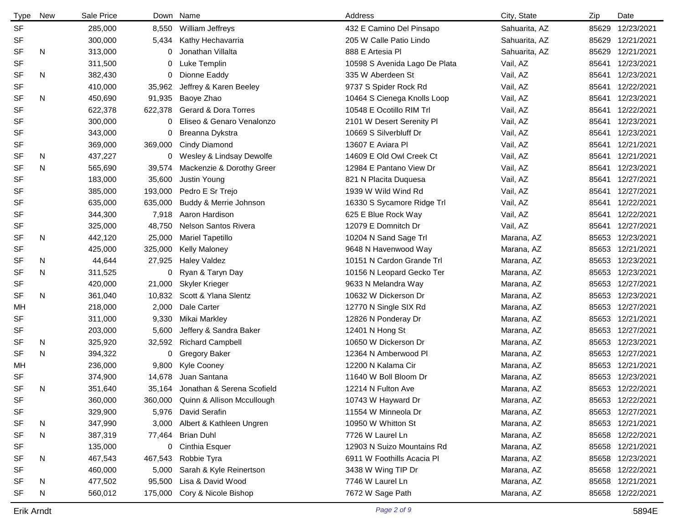| <b>Type</b> | <b>New</b> | Sale Price | Down    | Name                       | Address                       | City, State   | Zip   | Date             |
|-------------|------------|------------|---------|----------------------------|-------------------------------|---------------|-------|------------------|
| <b>SF</b>   |            | 285,000    | 8,550   | William Jeffreys           | 432 E Camino Del Pinsapo      | Sahuarita, AZ | 85629 | 12/23/2021       |
| SF          |            | 300,000    | 5,434   | Kathy Hechavarria          | 205 W Calle Patio Lindo       | Sahuarita, AZ | 85629 | 12/21/2021       |
| <b>SF</b>   | N          | 313,000    | 0       | Jonathan Villalta          | 888 E Artesia Pl              | Sahuarita, AZ | 85629 | 12/21/2021       |
| <b>SF</b>   |            | 311,500    | 0       | Luke Templin               | 10598 S Avenida Lago De Plata | Vail, AZ      | 85641 | 12/23/2021       |
| <b>SF</b>   | N          | 382,430    | 0       | Dionne Eaddy               | 335 W Aberdeen St             | Vail, AZ      | 85641 | 12/23/2021       |
| <b>SF</b>   |            | 410,000    | 35,962  | Jeffrey & Karen Beeley     | 9737 S Spider Rock Rd         | Vail, AZ      | 85641 | 12/22/2021       |
| <b>SF</b>   | N          | 450,690    | 91,935  | Baoye Zhao                 | 10464 S Cienega Knolls Loop   | Vail, AZ      | 85641 | 12/23/2021       |
| <b>SF</b>   |            | 622,378    | 622,378 | Gerard & Dora Torres       | 10548 E Ocotillo RIM Trl      | Vail, AZ      | 85641 | 12/22/2021       |
| <b>SF</b>   |            | 300,000    | 0       | Eliseo & Genaro Venalonzo  | 2101 W Desert Serenity Pl     | Vail, AZ      | 85641 | 12/23/2021       |
| <b>SF</b>   |            | 343,000    | 0       | Breanna Dykstra            | 10669 S Silverbluff Dr        | Vail, AZ      | 85641 | 12/23/2021       |
| SF          |            | 369,000    | 369,000 | <b>Cindy Diamond</b>       | 13607 E Aviara Pl             | Vail, AZ      | 85641 | 12/21/2021       |
| <b>SF</b>   | N          | 437,227    | 0       | Wesley & Lindsay Dewolfe   | 14609 E Old Owl Creek Ct      | Vail, AZ      | 85641 | 12/21/2021       |
| <b>SF</b>   | N          | 565,690    | 39,574  | Mackenzie & Dorothy Greer  | 12984 E Pantano View Dr       | Vail, AZ      | 85641 | 12/23/2021       |
| <b>SF</b>   |            | 183,000    | 35,600  | Justin Young               | 821 N Placita Duquesa         | Vail, AZ      | 85641 | 12/27/2021       |
| SF          |            | 385,000    | 193,000 | Pedro E Sr Trejo           | 1939 W Wild Wind Rd           | Vail, AZ      | 85641 | 12/27/2021       |
| <b>SF</b>   |            | 635,000    | 635,000 | Buddy & Merrie Johnson     | 16330 S Sycamore Ridge Trl    | Vail, AZ      | 85641 | 12/22/2021       |
| SF          |            | 344,300    | 7,918   | Aaron Hardison             | 625 E Blue Rock Way           | Vail, AZ      | 85641 | 12/22/2021       |
| <b>SF</b>   |            | 325,000    | 48,750  | Nelson Santos Rivera       | 12079 E Domnitch Dr           | Vail, AZ      | 85641 | 12/27/2021       |
| SF          | N          | 442,120    | 25,000  | <b>Mariel Tapetillo</b>    | 10204 N Sand Sage Trl         | Marana, AZ    | 85653 | 12/23/2021       |
| <b>SF</b>   |            | 425,000    | 325,000 | <b>Kelly Maloney</b>       | 9648 N Havenwood Way          | Marana, AZ    | 85653 | 12/21/2021       |
| <b>SF</b>   | N          | 44,644     | 27,925  | <b>Haley Valdez</b>        | 10151 N Cardon Grande Trl     | Marana, AZ    | 85653 | 12/23/2021       |
| <b>SF</b>   | N          | 311,525    | 0       | Ryan & Taryn Day           | 10156 N Leopard Gecko Ter     | Marana, AZ    | 85653 | 12/23/2021       |
| <b>SF</b>   |            | 420,000    | 21,000  | <b>Skyler Krieger</b>      | 9633 N Melandra Way           | Marana, AZ    | 85653 | 12/27/2021       |
| <b>SF</b>   | N          | 361,040    | 10,832  | Scott & Ylana Slentz       | 10632 W Dickerson Dr          | Marana, AZ    | 85653 | 12/23/2021       |
| МH          |            | 218,000    | 2,000   | Dale Carter                | 12770 N Single SIX Rd         | Marana, AZ    | 85653 | 12/27/2021       |
| <b>SF</b>   |            | 311,000    | 9,330   | Mikai Markley              | 12826 N Ponderay Dr           | Marana, AZ    | 85653 | 12/21/2021       |
| SF          |            | 203,000    | 5,600   | Jeffery & Sandra Baker     | 12401 N Hong St               | Marana, AZ    |       | 85653 12/27/2021 |
| SF          | N          | 325,920    | 32,592  | <b>Richard Campbell</b>    | 10650 W Dickerson Dr          | Marana, AZ    | 85653 | 12/23/2021       |
| <b>SF</b>   | N          | 394,322    | 0       | <b>Gregory Baker</b>       | 12364 N Amberwood PI          | Marana, AZ    | 85653 | 12/27/2021       |
| MН          |            | 236,000    | 9,800   | Kyle Cooney                | 12200 N Kalama Cir            | Marana, AZ    | 85653 | 12/21/2021       |
| <b>SF</b>   |            | 374,900    | 14,678  | Juan Santana               | 11640 W Boll Bloom Dr         | Marana, AZ    |       | 85653 12/23/2021 |
| <b>SF</b>   | N          | 351,640    | 35,164  | Jonathan & Serena Scofield | 12214 N Fulton Ave            | Marana, AZ    |       | 85653 12/22/2021 |
| SF          |            | 360,000    | 360,000 | Quinn & Allison Mccullough | 10743 W Hayward Dr            | Marana, AZ    |       | 85653 12/22/2021 |
| SF          |            | 329,900    | 5,976   | David Serafin              | 11554 W Minneola Dr           | Marana, AZ    |       | 85653 12/27/2021 |
| SF          | N          | 347,990    | 3,000   | Albert & Kathleen Ungren   | 10950 W Whitton St            | Marana, AZ    |       | 85653 12/21/2021 |
| <b>SF</b>   | N          | 387,319    |         | 77,464 Brian Duhl          | 7726 W Laurel Ln              | Marana, AZ    |       | 85658 12/22/2021 |
| SF          |            | 135,000    |         | 0 Cinthia Esquer           | 12903 N Suizo Mountains Rd    | Marana, AZ    |       | 85658 12/21/2021 |
| <b>SF</b>   | N          | 467,543    | 467,543 | Robbie Tyra                | 6911 W Foothills Acacia Pl    | Marana, AZ    |       | 85658 12/23/2021 |
| SF          |            | 460,000    | 5,000   | Sarah & Kyle Reinertson    | 3438 W Wing TIP Dr            | Marana, AZ    |       | 85658 12/22/2021 |
| <b>SF</b>   | N          | 477,502    | 95,500  | Lisa & David Wood          | 7746 W Laurel Ln              | Marana, AZ    |       | 85658 12/21/2021 |
| SF          | N          | 560,012    | 175,000 | Cory & Nicole Bishop       | 7672 W Sage Path              | Marana, AZ    |       | 85658 12/22/2021 |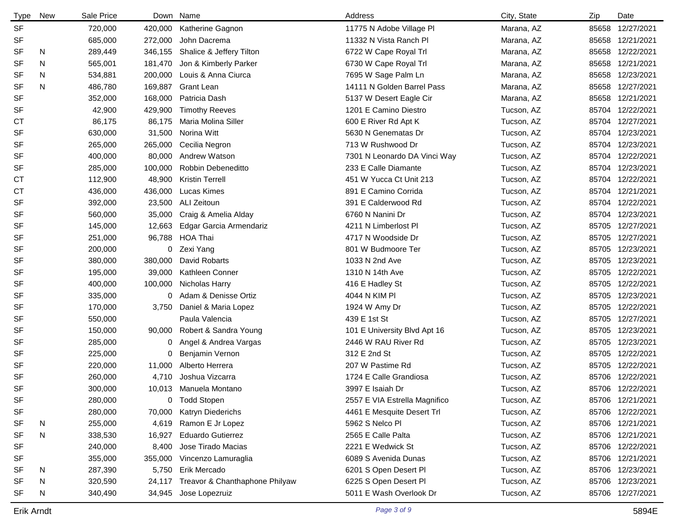| <b>Type</b> | <b>New</b> | Sale Price | Down    | Name                           | Address                       | City, State | Zip | Date             |
|-------------|------------|------------|---------|--------------------------------|-------------------------------|-------------|-----|------------------|
| <b>SF</b>   |            | 720,000    | 420,000 | Katherine Gagnon               | 11775 N Adobe Village PI      | Marana, AZ  |     | 85658 12/27/2021 |
| SF          |            | 685,000    | 272,000 | John Dacrema                   | 11332 N Vista Ranch Pl        | Marana, AZ  |     | 85658 12/21/2021 |
| <b>SF</b>   | N          | 289,449    | 346,155 | Shalice & Jeffery Tilton       | 6722 W Cape Royal Trl         | Marana, AZ  |     | 85658 12/22/2021 |
| <b>SF</b>   | N          | 565,001    | 181,470 | Jon & Kimberly Parker          | 6730 W Cape Royal Trl         | Marana, AZ  |     | 85658 12/21/2021 |
| <b>SF</b>   | N.         | 534,881    | 200,000 | Louis & Anna Ciurca            | 7695 W Sage Palm Ln           | Marana, AZ  |     | 85658 12/23/2021 |
| <b>SF</b>   | N          | 486,780    | 169,887 | <b>Grant Lean</b>              | 14111 N Golden Barrel Pass    | Marana, AZ  |     | 85658 12/27/2021 |
| <b>SF</b>   |            | 352,000    | 168,000 | Patricia Dash                  | 5137 W Desert Eagle Cir       | Marana, AZ  |     | 85658 12/21/2021 |
| <b>SF</b>   |            | 42,900     | 429,900 | <b>Timothy Reeves</b>          | 1201 E Camino Diestro         | Tucson, AZ  |     | 85704 12/22/2021 |
| СT          |            | 86,175     | 86,175  | Maria Molina Siller            | 600 E River Rd Apt K          | Tucson, AZ  |     | 85704 12/27/2021 |
| <b>SF</b>   |            | 630,000    | 31,500  | Norina Witt                    | 5630 N Genematas Dr           | Tucson, AZ  |     | 85704 12/23/2021 |
| <b>SF</b>   |            | 265,000    | 265,000 | Cecilia Negron                 | 713 W Rushwood Dr             | Tucson, AZ  |     | 85704 12/23/2021 |
| <b>SF</b>   |            | 400,000    | 80,000  | Andrew Watson                  | 7301 N Leonardo DA Vinci Way  | Tucson, AZ  |     | 85704 12/22/2021 |
| <b>SF</b>   |            | 285,000    | 100,000 | Robbin Debeneditto             | 233 E Calle Diamante          | Tucson, AZ  |     | 85704 12/23/2021 |
| СT          |            | 112,900    | 48,900  | <b>Kristin Terrell</b>         | 451 W Yucca Ct Unit 213       | Tucson, AZ  |     | 85704 12/22/2021 |
| <b>CT</b>   |            | 436,000    | 436,000 | Lucas Kimes                    | 891 E Camino Corrida          | Tucson, AZ  |     | 85704 12/21/2021 |
| <b>SF</b>   |            | 392,000    | 23,500  | ALI Zeitoun                    | 391 E Calderwood Rd           | Tucson, AZ  |     | 85704 12/22/2021 |
| <b>SF</b>   |            | 560,000    | 35,000  | Craig & Amelia Alday           | 6760 N Nanini Dr              | Tucson, AZ  |     | 85704 12/23/2021 |
| <b>SF</b>   |            | 145,000    | 12,663  | Edgar Garcia Armendariz        | 4211 N Limberlost PI          | Tucson, AZ  |     | 85705 12/27/2021 |
| SF          |            | 251,000    | 96,788  | <b>HOA Thai</b>                | 4717 N Woodside Dr            | Tucson, AZ  |     | 85705 12/27/2021 |
| <b>SF</b>   |            | 200,000    | 0       | Zexi Yang                      | 801 W Budmoore Ter            | Tucson, AZ  |     | 85705 12/23/2021 |
| <b>SF</b>   |            | 380,000    | 380,000 | David Robarts                  | 1033 N 2nd Ave                | Tucson, AZ  |     | 85705 12/23/2021 |
| <b>SF</b>   |            | 195,000    | 39,000  | Kathleen Conner                | 1310 N 14th Ave               | Tucson, AZ  |     | 85705 12/22/2021 |
| <b>SF</b>   |            | 400,000    | 100,000 | Nicholas Harry                 | 416 E Hadley St               | Tucson, AZ  |     | 85705 12/22/2021 |
| <b>SF</b>   |            | 335,000    | 0       | Adam & Denisse Ortiz           | 4044 N KIM PI                 | Tucson, AZ  |     | 85705 12/23/2021 |
| <b>SF</b>   |            | 170,000    | 3,750   | Daniel & Maria Lopez           | 1924 W Amy Dr                 | Tucson, AZ  |     | 85705 12/22/2021 |
| <b>SF</b>   |            | 550,000    |         | Paula Valencia                 | 439 E 1st St                  | Tucson, AZ  |     | 85705 12/27/2021 |
| <b>SF</b>   |            | 150,000    | 90,000  | Robert & Sandra Young          | 101 E University Blvd Apt 16  | Tucson, AZ  |     | 85705 12/23/2021 |
| SF          |            | 285,000    | 0       | Angel & Andrea Vargas          | 2446 W RAU River Rd           | Tucson, AZ  |     | 85705 12/23/2021 |
| SF          |            | 225,000    | 0       | Benjamin Vernon                | 312 E 2nd St                  | Tucson, AZ  |     | 85705 12/22/2021 |
| SF          |            | 220,000    | 11,000  | Alberto Herrera                | 207 W Pastime Rd              | Tucson, AZ  |     | 85705 12/22/2021 |
| <b>SF</b>   |            | 260,000    | 4,710   | Joshua Vizcarra                | 1724 E Calle Grandiosa        | Tucson, AZ  |     | 85706 12/22/2021 |
| <b>SF</b>   |            | 300,000    | 10,013  | Manuela Montano                | 3997 E Isaiah Dr              | Tucson, AZ  |     | 85706 12/22/2021 |
| SF          |            | 280,000    | 0       | <b>Todd Stopen</b>             | 2557 E VIA Estrella Magnifico | Tucson, AZ  |     | 85706 12/21/2021 |
| SF          |            | 280,000    | 70,000  | Katryn Diederichs              | 4461 E Mesquite Desert Trl    | Tucson, AZ  |     | 85706 12/22/2021 |
| SF          | N          | 255,000    | 4,619   | Ramon E Jr Lopez               | 5962 S Nelco Pl               | Tucson, AZ  |     | 85706 12/21/2021 |
| <b>SF</b>   | N          | 338,530    | 16,927  | <b>Eduardo Gutierrez</b>       | 2565 E Calle Palta            | Tucson, AZ  |     | 85706 12/21/2021 |
| SF          |            | 240,000    | 8,400   | Jose Tirado Macias             | 2221 E Wedwick St             | Tucson, AZ  |     | 85706 12/22/2021 |
| SF          |            | 355,000    | 355,000 | Vincenzo Lamuraglia            | 6089 S Avenida Dunas          | Tucson, AZ  |     | 85706 12/21/2021 |
| SF          | N          | 287,390    | 5,750   | Erik Mercado                   | 6201 S Open Desert Pl         | Tucson, AZ  |     | 85706 12/23/2021 |
| <b>SF</b>   | N          | 320,590    | 24,117  | Treavor & Chanthaphone Philyaw | 6225 S Open Desert Pl         | Tucson, AZ  |     | 85706 12/23/2021 |
| SF          | N          | 340,490    | 34,945  | Jose Lopezruiz                 | 5011 E Wash Overlook Dr       | Tucson, AZ  |     | 85706 12/27/2021 |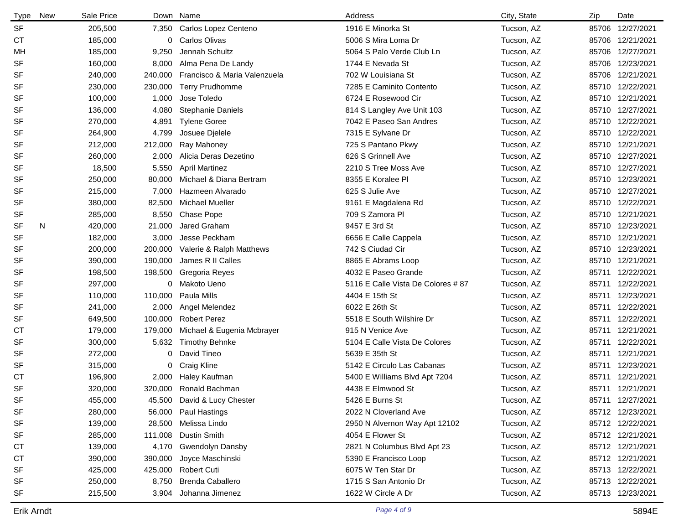| <b>Type</b> | <b>New</b> | Sale Price |         | Down Name                    | Address                            | City, State | Zip | Date             |
|-------------|------------|------------|---------|------------------------------|------------------------------------|-------------|-----|------------------|
| <b>SF</b>   |            | 205,500    |         | 7,350 Carlos Lopez Centeno   | 1916 E Minorka St                  | Tucson, AZ  |     | 85706 12/27/2021 |
| <b>CT</b>   |            | 185,000    | 0       | Carlos Olivas                | 5006 S Mira Loma Dr                | Tucson, AZ  |     | 85706 12/21/2021 |
| MН          |            | 185,000    | 9,250   | Jennah Schultz               | 5064 S Palo Verde Club Ln          | Tucson, AZ  |     | 85706 12/27/2021 |
| <b>SF</b>   |            | 160,000    | 8,000   | Alma Pena De Landy           | 1744 E Nevada St                   | Tucson, AZ  |     | 85706 12/23/2021 |
| <b>SF</b>   |            | 240,000    | 240,000 | Francisco & Maria Valenzuela | 702 W Louisiana St                 | Tucson, AZ  |     | 85706 12/21/2021 |
| <b>SF</b>   |            | 230,000    | 230,000 | <b>Terry Prudhomme</b>       | 7285 E Caminito Contento           | Tucson, AZ  |     | 85710 12/22/2021 |
| <b>SF</b>   |            | 100,000    | 1,000   | Jose Toledo                  | 6724 E Rosewood Cir                | Tucson, AZ  |     | 85710 12/21/2021 |
| <b>SF</b>   |            | 136,000    | 4,080   | <b>Stephanie Daniels</b>     | 814 S Langley Ave Unit 103         | Tucson, AZ  |     | 85710 12/27/2021 |
| <b>SF</b>   |            | 270,000    | 4,891   | <b>Tylene Goree</b>          | 7042 E Paseo San Andres            | Tucson, AZ  |     | 85710 12/22/2021 |
| <b>SF</b>   |            | 264,900    | 4,799   | Josuee Djelele               | 7315 E Sylvane Dr                  | Tucson, AZ  |     | 85710 12/22/2021 |
| SF          |            | 212,000    | 212,000 | Ray Mahoney                  | 725 S Pantano Pkwy                 | Tucson, AZ  |     | 85710 12/21/2021 |
| <b>SF</b>   |            | 260,000    | 2,000   | Alicia Deras Dezetino        | 626 S Grinnell Ave                 | Tucson, AZ  |     | 85710 12/27/2021 |
| SF          |            | 18,500     | 5,550   | <b>April Martinez</b>        | 2210 S Tree Moss Ave               | Tucson, AZ  |     | 85710 12/27/2021 |
| <b>SF</b>   |            | 250,000    | 80,000  | Michael & Diana Bertram      | 8355 E Koralee Pl                  | Tucson, AZ  |     | 85710 12/23/2021 |
| <b>SF</b>   |            | 215,000    | 7,000   | Hazmeen Alvarado             | 625 S Julie Ave                    | Tucson, AZ  |     | 85710 12/27/2021 |
| SF          |            | 380,000    | 82,500  | <b>Michael Mueller</b>       | 9161 E Magdalena Rd                | Tucson, AZ  |     | 85710 12/22/2021 |
| SF          |            | 285,000    | 8,550   | Chase Pope                   | 709 S Zamora PI                    | Tucson, AZ  |     | 85710 12/21/2021 |
| <b>SF</b>   | N          | 420,000    | 21,000  | Jared Graham                 | 9457 E 3rd St                      | Tucson, AZ  |     | 85710 12/23/2021 |
| <b>SF</b>   |            | 182,000    | 3,000   | Jesse Peckham                | 6656 E Calle Cappela               | Tucson, AZ  |     | 85710 12/21/2021 |
| SF          |            | 200,000    | 200,000 | Valerie & Ralph Matthews     | 742 S Ciudad Cir                   | Tucson, AZ  |     | 85710 12/23/2021 |
| <b>SF</b>   |            | 390,000    | 190,000 | James R II Calles            | 8865 E Abrams Loop                 | Tucson, AZ  |     | 85710 12/21/2021 |
| <b>SF</b>   |            | 198,500    | 198,500 | Gregoria Reyes               | 4032 E Paseo Grande                | Tucson, AZ  |     | 85711 12/22/2021 |
| <b>SF</b>   |            | 297,000    |         | 0 Makoto Ueno                | 5116 E Calle Vista De Colores # 87 | Tucson, AZ  |     | 85711 12/22/2021 |
| <b>SF</b>   |            | 110,000    | 110,000 | Paula Mills                  | 4404 E 15th St                     | Tucson, AZ  |     | 85711 12/23/2021 |
| <b>SF</b>   |            | 241,000    | 2,000   | Angel Melendez               | 6022 E 26th St                     | Tucson, AZ  |     | 85711 12/22/2021 |
| SF          |            | 649,500    | 100,000 | <b>Robert Perez</b>          | 5518 E South Wilshire Dr           | Tucson, AZ  |     | 85711 12/22/2021 |
| <b>CT</b>   |            | 179,000    | 179,000 | Michael & Eugenia Mcbrayer   | 915 N Venice Ave                   | Tucson, AZ  |     | 85711 12/21/2021 |
| <b>SF</b>   |            | 300,000    | 5,632   | <b>Timothy Behnke</b>        | 5104 E Calle Vista De Colores      | Tucson, AZ  |     | 85711 12/22/2021 |
| <b>SF</b>   |            | 272,000    | 0       | David Tineo                  | 5639 E 35th St                     | Tucson, AZ  |     | 85711 12/21/2021 |
| <b>SF</b>   |            | 315,000    | 0       | Craig Kline                  | 5142 E Circulo Las Cabanas         | Tucson, AZ  |     | 85711 12/23/2021 |
| <b>CT</b>   |            | 196,900    | 2,000   | Haley Kaufman                | 5400 E Williams Blvd Apt 7204      | Tucson, AZ  |     | 85711 12/21/2021 |
| <b>SF</b>   |            | 320,000    | 320,000 | Ronald Bachman               | 4438 E Elmwood St                  | Tucson, AZ  |     | 85711 12/21/2021 |
| SF          |            | 455,000    |         | 45,500 David & Lucy Chester  | 5426 E Burns St                    | Tucson, AZ  |     | 85711 12/27/2021 |
| SF          |            | 280,000    |         | 56,000 Paul Hastings         | 2022 N Cloverland Ave              | Tucson, AZ  |     | 85712 12/23/2021 |
| SF          |            | 139,000    |         | 28,500 Melissa Lindo         | 2950 N Alvernon Way Apt 12102      | Tucson, AZ  |     | 85712 12/22/2021 |
| SF          |            | 285,000    | 111,008 | Dustin Smith                 | 4054 E Flower St                   | Tucson, AZ  |     | 85712 12/21/2021 |
| <b>CT</b>   |            | 139,000    | 4,170   | <b>Gwendolyn Dansby</b>      | 2821 N Columbus Blvd Apt 23        | Tucson, AZ  |     | 85712 12/21/2021 |
| СT          |            | 390,000    | 390,000 | Joyce Maschinski             | 5390 E Francisco Loop              | Tucson, AZ  |     | 85712 12/21/2021 |
| <b>SF</b>   |            | 425,000    |         | 425,000 Robert Cuti          | 6075 W Ten Star Dr                 | Tucson, AZ  |     | 85713 12/22/2021 |
| SF          |            | 250,000    | 8,750   | Brenda Caballero             | 1715 S San Antonio Dr              | Tucson, AZ  |     | 85713 12/22/2021 |
| SF          |            | 215,500    | 3,904   | Johanna Jimenez              | 1622 W Circle A Dr                 | Tucson, AZ  |     | 85713 12/23/2021 |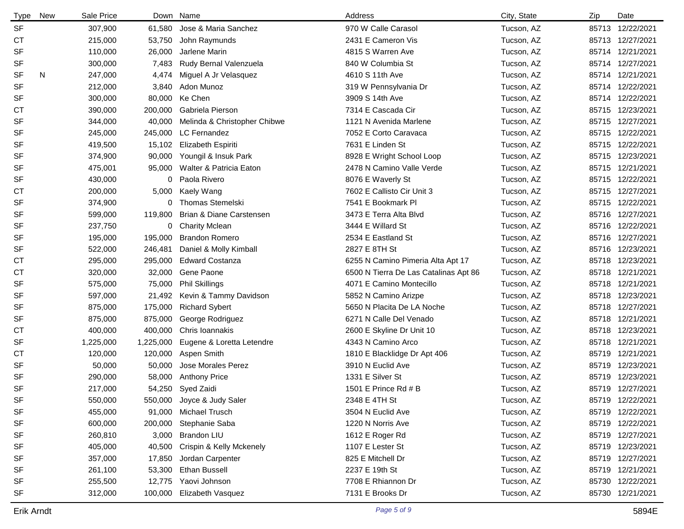| <b>Type</b> | New | Sale Price |           | Down Name                    | Address                               | City, State | Zip | Date             |
|-------------|-----|------------|-----------|------------------------------|---------------------------------------|-------------|-----|------------------|
| <b>SF</b>   |     | 307,900    | 61,580    | Jose & Maria Sanchez         | 970 W Calle Carasol                   | Tucson, AZ  |     | 85713 12/22/2021 |
| СT          |     | 215,000    | 53,750    | John Raymunds                | 2431 E Cameron Vis                    | Tucson, AZ  |     | 85713 12/27/2021 |
| SF          |     | 110,000    | 26,000    | Jarlene Marin                | 4815 S Warren Ave                     | Tucson, AZ  |     | 85714 12/21/2021 |
| SF          |     | 300,000    | 7,483     | Rudy Bernal Valenzuela       | 840 W Columbia St                     | Tucson, AZ  |     | 85714 12/27/2021 |
| <b>SF</b>   | N   | 247,000    | 4,474     | Miguel A Jr Velasquez        | 4610 S 11th Ave                       | Tucson, AZ  |     | 85714 12/21/2021 |
| SF          |     | 212,000    | 3,840     | Adon Munoz                   | 319 W Pennsylvania Dr                 | Tucson, AZ  |     | 85714 12/22/2021 |
| SF          |     | 300,000    | 80,000    | Ke Chen                      | 3909 S 14th Ave                       | Tucson, AZ  |     | 85714 12/22/2021 |
| СT          |     | 390,000    | 200,000   | Gabriela Pierson             | 7314 E Cascada Cir                    | Tucson, AZ  |     | 85715 12/23/2021 |
| SF          |     | 344,000    | 40,000    | Melinda & Christopher Chibwe | 1121 N Avenida Marlene                | Tucson, AZ  |     | 85715 12/27/2021 |
| SF          |     | 245,000    | 245,000   | LC Fernandez                 | 7052 E Corto Caravaca                 | Tucson, AZ  |     | 85715 12/22/2021 |
| SF          |     | 419,500    | 15,102    | Elizabeth Espiriti           | 7631 E Linden St                      | Tucson, AZ  |     | 85715 12/22/2021 |
| SF          |     | 374,900    | 90,000    | Youngil & Insuk Park         | 8928 E Wright School Loop             | Tucson, AZ  |     | 85715 12/23/2021 |
| SF          |     | 475,001    | 95,000    | Walter & Patricia Eaton      | 2478 N Camino Valle Verde             | Tucson, AZ  |     | 85715 12/21/2021 |
| SF          |     | 430,000    | 0         | Paola Rivero                 | 8076 E Waverly St                     | Tucson, AZ  |     | 85715 12/22/2021 |
| <b>CT</b>   |     | 200,000    | 5,000     | Kaely Wang                   | 7602 E Callisto Cir Unit 3            | Tucson, AZ  |     | 85715 12/27/2021 |
| SF          |     | 374,900    | 0         | <b>Thomas Stemelski</b>      | 7541 E Bookmark Pl                    | Tucson, AZ  |     | 85715 12/22/2021 |
| SF          |     | 599,000    | 119,800   | Brian & Diane Carstensen     | 3473 E Terra Alta Blvd                | Tucson, AZ  |     | 85716 12/27/2021 |
| SF          |     | 237,750    | 0         | <b>Charity Mclean</b>        | 3444 E Willard St                     | Tucson, AZ  |     | 85716 12/22/2021 |
| SF          |     | 195,000    | 195,000   | <b>Brandon Romero</b>        | 2534 E Eastland St                    | Tucson, AZ  |     | 85716 12/27/2021 |
| SF          |     | 522,000    | 246,481   | Daniel & Molly Kimball       | 2827 E 8TH St                         | Tucson, AZ  |     | 85716 12/23/2021 |
| СT          |     | 295,000    | 295,000   | <b>Edward Costanza</b>       | 6255 N Camino Pimeria Alta Apt 17     | Tucson, AZ  |     | 85718 12/23/2021 |
| <b>CT</b>   |     | 320,000    | 32,000    | Gene Paone                   | 6500 N Tierra De Las Catalinas Apt 86 | Tucson, AZ  |     | 85718 12/21/2021 |
| SF          |     | 575,000    | 75,000    | <b>Phil Skillings</b>        | 4071 E Camino Montecillo              | Tucson, AZ  |     | 85718 12/21/2021 |
| SF          |     | 597,000    | 21,492    | Kevin & Tammy Davidson       | 5852 N Camino Arizpe                  | Tucson, AZ  |     | 85718 12/23/2021 |
| SF          |     | 875,000    | 175,000   | <b>Richard Sybert</b>        | 5650 N Placita De LA Noche            | Tucson, AZ  |     | 85718 12/27/2021 |
| SF          |     | 875,000    | 875,000   | George Rodriguez             | 6271 N Calle Del Venado               | Tucson, AZ  |     | 85718 12/21/2021 |
| <b>CT</b>   |     | 400,000    | 400,000   | Chris Ioannakis              | 2600 E Skyline Dr Unit 10             | Tucson, AZ  |     | 85718 12/23/2021 |
| SF          |     | 1,225,000  | 1,225,000 | Eugene & Loretta Letendre    | 4343 N Camino Arco                    | Tucson, AZ  |     | 85718 12/21/2021 |
| <b>CT</b>   |     | 120,000    | 120,000   | Aspen Smith                  | 1810 E Blacklidge Dr Apt 406          | Tucson, AZ  |     | 85719 12/21/2021 |
| SF          |     | 50,000     | 50,000    | Jose Morales Perez           | 3910 N Euclid Ave                     | Tucson, AZ  |     | 85719 12/23/2021 |
| SF          |     | 290,000    | 58,000    | <b>Anthony Price</b>         | 1331 E Silver St                      | Tucson, AZ  |     | 85719 12/23/2021 |
| SF          |     | 217,000    | 54,250    | Syed Zaidi                   | 1501 E Prince Rd # B                  | Tucson, AZ  |     | 85719 12/27/2021 |
| SF          |     | 550,000    | 550,000   | Joyce & Judy Saler           | 2348 E 4TH St                         | Tucson, AZ  |     | 85719 12/22/2021 |
| SF          |     | 455,000    | 91,000    | Michael Trusch               | 3504 N Euclid Ave                     | Tucson, AZ  |     | 85719 12/22/2021 |
| SF          |     | 600,000    | 200,000   | Stephanie Saba               | 1220 N Norris Ave                     | Tucson, AZ  |     | 85719 12/22/2021 |
| SF          |     | 260,810    | 3,000     | <b>Brandon LIU</b>           | 1612 E Roger Rd                       | Tucson, AZ  |     | 85719 12/27/2021 |
| SF          |     | 405,000    | 40,500    | Crispin & Kelly Mckenely     | 1107 E Lester St                      | Tucson, AZ  |     | 85719 12/23/2021 |
| SF          |     | 357,000    | 17,850    | Jordan Carpenter             | 825 E Mitchell Dr                     | Tucson, AZ  |     | 85719 12/27/2021 |
| SF          |     | 261,100    | 53,300    | <b>Ethan Bussell</b>         | 2237 E 19th St                        | Tucson, AZ  |     | 85719 12/21/2021 |
| SF          |     | 255,500    | 12,775    | Yaovi Johnson                | 7708 E Rhiannon Dr                    | Tucson, AZ  |     | 85730 12/22/2021 |
| SF          |     | 312,000    | 100,000   | Elizabeth Vasquez            | 7131 E Brooks Dr                      | Tucson, AZ  |     | 85730 12/21/2021 |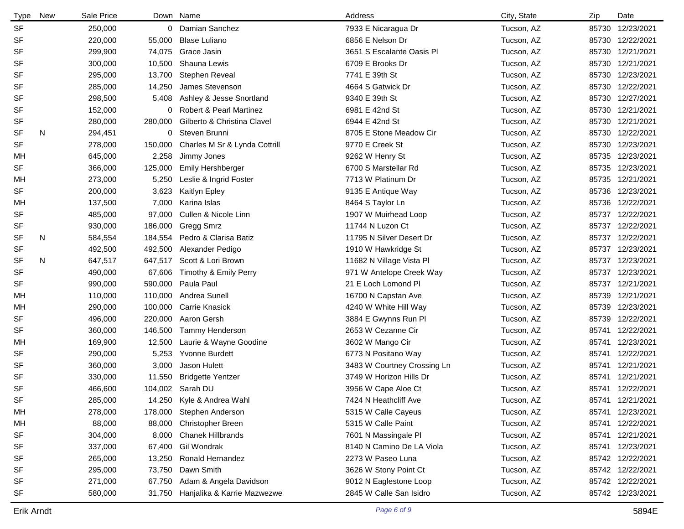| <b>Type</b> | <b>New</b> | Sale Price |         | Down Name                          | Address                     | City, State | Zip   | Date             |
|-------------|------------|------------|---------|------------------------------------|-----------------------------|-------------|-------|------------------|
| <b>SF</b>   |            | 250,000    |         | 0 Damian Sanchez                   | 7933 E Nicaragua Dr         | Tucson, AZ  |       | 85730 12/23/2021 |
| SF          |            | 220,000    | 55,000  | <b>Blase Luliano</b>               | 6856 E Nelson Dr            | Tucson, AZ  |       | 85730 12/22/2021 |
| <b>SF</b>   |            | 299,900    | 74,075  | Grace Jasin                        | 3651 S Escalante Oasis Pl   | Tucson, AZ  |       | 85730 12/21/2021 |
| <b>SF</b>   |            | 300,000    | 10,500  | Shauna Lewis                       | 6709 E Brooks Dr            | Tucson, AZ  |       | 85730 12/21/2021 |
| <b>SF</b>   |            | 295,000    | 13,700  | Stephen Reveal                     | 7741 E 39th St              | Tucson, AZ  |       | 85730 12/23/2021 |
| <b>SF</b>   |            | 285,000    | 14,250  | James Stevenson                    | 4664 S Gatwick Dr           | Tucson, AZ  |       | 85730 12/22/2021 |
| <b>SF</b>   |            | 298,500    | 5,408   | Ashley & Jesse Snortland           | 9340 E 39th St              | Tucson, AZ  |       | 85730 12/27/2021 |
| <b>SF</b>   |            | 152,000    | 0       | <b>Robert &amp; Pearl Martinez</b> | 6981 E 42nd St              | Tucson, AZ  |       | 85730 12/21/2021 |
| <b>SF</b>   |            | 280,000    | 280,000 | Gilberto & Christina Clavel        | 6944 E 42nd St              | Tucson, AZ  |       | 85730 12/21/2021 |
| <b>SF</b>   | N          | 294,451    | 0       | Steven Brunni                      | 8705 E Stone Meadow Cir     | Tucson, AZ  |       | 85730 12/22/2021 |
| <b>SF</b>   |            | 278,000    | 150,000 | Charles M Sr & Lynda Cottrill      | 9770 E Creek St             | Tucson, AZ  |       | 85730 12/23/2021 |
| MН          |            | 645,000    | 2,258   | Jimmy Jones                        | 9262 W Henry St             | Tucson, AZ  |       | 85735 12/23/2021 |
| <b>SF</b>   |            | 366,000    | 125,000 | <b>Emily Hershberger</b>           | 6700 S Marstellar Rd        | Tucson, AZ  |       | 85735 12/23/2021 |
| MН          |            | 273,000    | 5,250   | Leslie & Ingrid Foster             | 7713 W Platinum Dr          | Tucson, AZ  |       | 85735 12/21/2021 |
| <b>SF</b>   |            | 200,000    | 3,623   | Kaitlyn Epley                      | 9135 E Antique Way          | Tucson, AZ  |       | 85736 12/23/2021 |
| MH          |            | 137,500    | 7,000   | Karina Islas                       | 8464 S Taylor Ln            | Tucson, AZ  |       | 85736 12/22/2021 |
| SF          |            | 485,000    | 97,000  | Cullen & Nicole Linn               | 1907 W Muirhead Loop        | Tucson, AZ  |       | 85737 12/22/2021 |
| <b>SF</b>   |            | 930,000    | 186,000 | Gregg Smrz                         | 11744 N Luzon Ct            | Tucson, AZ  |       | 85737 12/22/2021 |
| SF          | N          | 584,554    | 184,554 | Pedro & Clarisa Batiz              | 11795 N Silver Desert Dr    | Tucson, AZ  | 85737 | 12/22/2021       |
| <b>SF</b>   |            | 492,500    | 492,500 | Alexander Pedigo                   | 1910 W Hawkridge St         | Tucson, AZ  | 85737 | 12/23/2021       |
| <b>SF</b>   | N          | 647,517    | 647,517 | Scott & Lori Brown                 | 11682 N Village Vista Pl    | Tucson, AZ  | 85737 | 12/23/2021       |
| <b>SF</b>   |            | 490,000    | 67,606  | Timothy & Emily Perry              | 971 W Antelope Creek Way    | Tucson, AZ  | 85737 | 12/23/2021       |
| <b>SF</b>   |            | 990,000    | 590,000 | Paula Paul                         | 21 E Loch Lomond Pl         | Tucson, AZ  | 85737 | 12/21/2021       |
| MH          |            | 110,000    | 110,000 | Andrea Sunell                      | 16700 N Capstan Ave         | Tucson, AZ  | 85739 | 12/21/2021       |
| MН          |            | 290,000    | 100,000 | Carrie Knasick                     | 4240 W White Hill Way       | Tucson, AZ  |       | 85739 12/23/2021 |
| <b>SF</b>   |            | 496,000    | 220,000 | Aaron Gersh                        | 3884 E Gwynns Run Pl        | Tucson, AZ  |       | 85739 12/22/2021 |
| <b>SF</b>   |            | 360,000    | 146,500 | Tammy Henderson                    | 2653 W Cezanne Cir          | Tucson, AZ  |       | 85741 12/22/2021 |
| MН          |            | 169,900    | 12,500  | Laurie & Wayne Goodine             | 3602 W Mango Cir            | Tucson, AZ  |       | 85741 12/23/2021 |
| <b>SF</b>   |            | 290,000    | 5,253   | Yvonne Burdett                     | 6773 N Positano Way         | Tucson, AZ  |       | 85741 12/22/2021 |
| <b>SF</b>   |            | 360,000    | 3,000   | Jason Hulett                       | 3483 W Courtney Crossing Ln | Tucson, AZ  |       | 85741 12/21/2021 |
| <b>SF</b>   |            | 330,000    | 11,550  | <b>Bridgette Yentzer</b>           | 3749 W Horizon Hills Dr     | Tucson, AZ  |       | 85741 12/21/2021 |
| <b>SF</b>   |            | 466,600    |         | 104,002 Sarah DU                   | 3956 W Cape Aloe Ct         | Tucson, AZ  |       | 85741 12/22/2021 |
| SF          |            | 285,000    | 14,250  | Kyle & Andrea Wahl                 | 7424 N Heathcliff Ave       | Tucson, AZ  |       | 85741 12/21/2021 |
| MН          |            | 278,000    | 178,000 | Stephen Anderson                   | 5315 W Calle Cayeus         | Tucson, AZ  |       | 85741 12/23/2021 |
| MН          |            | 88,000     | 88,000  | Christopher Breen                  | 5315 W Calle Paint          | Tucson, AZ  |       | 85741 12/22/2021 |
| SF          |            | 304,000    | 8,000   | <b>Chanek Hillbrands</b>           | 7601 N Massingale Pl        | Tucson, AZ  |       | 85741 12/21/2021 |
| SF          |            | 337,000    | 67,400  | Gil Wondrak                        | 8140 N Camino De LA Viola   | Tucson, AZ  |       | 85741 12/23/2021 |
| SF          |            | 265,000    | 13,250  | Ronald Hernandez                   | 2273 W Paseo Luna           | Tucson, AZ  |       | 85742 12/22/2021 |
| SF          |            | 295,000    | 73,750  | Dawn Smith                         | 3626 W Stony Point Ct       | Tucson, AZ  |       | 85742 12/22/2021 |
| SF          |            | 271,000    | 67,750  | Adam & Angela Davidson             | 9012 N Eaglestone Loop      | Tucson, AZ  |       | 85742 12/22/2021 |
| SF          |            | 580,000    | 31,750  | Hanjalika & Karrie Mazwezwe        | 2845 W Calle San Isidro     | Tucson, AZ  |       | 85742 12/23/2021 |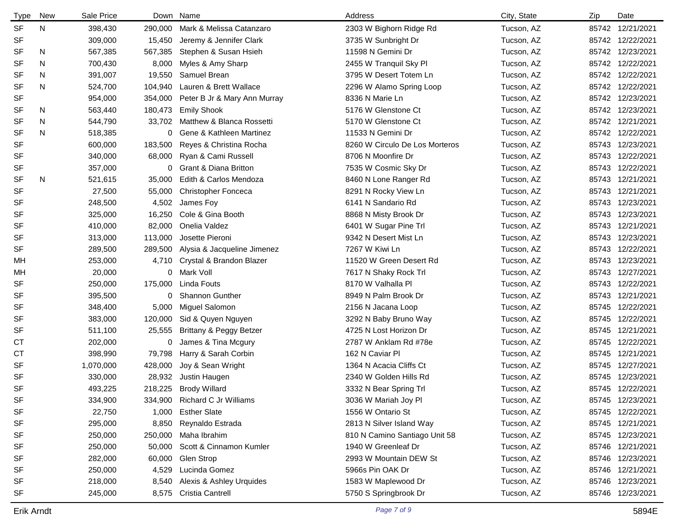| <b>Type</b> | <b>New</b> | Sale Price |         | Down Name                     | Address                        | City, State | Zip | Date             |
|-------------|------------|------------|---------|-------------------------------|--------------------------------|-------------|-----|------------------|
| <b>SF</b>   | N          | 398,430    | 290,000 | Mark & Melissa Catanzaro      | 2303 W Bighorn Ridge Rd        | Tucson, AZ  |     | 85742 12/21/2021 |
| SF          |            | 309,000    | 15,450  | Jeremy & Jennifer Clark       | 3735 W Sunbright Dr            | Tucson, AZ  |     | 85742 12/22/2021 |
| <b>SF</b>   | N          | 567,385    | 567,385 | Stephen & Susan Hsieh         | 11598 N Gemini Dr              | Tucson, AZ  |     | 85742 12/23/2021 |
| <b>SF</b>   | N          | 700,430    | 8,000   | Myles & Amy Sharp             | 2455 W Tranquil Sky Pl         | Tucson, AZ  |     | 85742 12/22/2021 |
| <b>SF</b>   | N          | 391,007    | 19,550  | Samuel Brean                  | 3795 W Desert Totem Ln         | Tucson, AZ  |     | 85742 12/22/2021 |
| <b>SF</b>   | N          | 524,700    | 104,940 | Lauren & Brett Wallace        | 2296 W Alamo Spring Loop       | Tucson, AZ  |     | 85742 12/22/2021 |
| <b>SF</b>   |            | 954,000    | 354,000 | Peter B Jr & Mary Ann Murray  | 8336 N Marie Ln                | Tucson, AZ  |     | 85742 12/23/2021 |
| <b>SF</b>   | N          | 563,440    | 180,473 | <b>Emily Shook</b>            | 5176 W Glenstone Ct            | Tucson, AZ  |     | 85742 12/23/2021 |
| <b>SF</b>   | N          | 544,790    | 33,702  | Matthew & Blanca Rossetti     | 5170 W Glenstone Ct            | Tucson, AZ  |     | 85742 12/21/2021 |
| <b>SF</b>   | N          | 518,385    | 0       | Gene & Kathleen Martinez      | 11533 N Gemini Dr              | Tucson, AZ  |     | 85742 12/22/2021 |
| <b>SF</b>   |            | 600,000    | 183,500 | Reyes & Christina Rocha       | 8260 W Circulo De Los Morteros | Tucson, AZ  |     | 85743 12/23/2021 |
| SF          |            | 340,000    | 68,000  | Ryan & Cami Russell           | 8706 N Moonfire Dr             | Tucson, AZ  |     | 85743 12/22/2021 |
| <b>SF</b>   |            | 357,000    | 0       | Grant & Diana Britton         | 7535 W Cosmic Sky Dr           | Tucson, AZ  |     | 85743 12/22/2021 |
| <b>SF</b>   | N          | 521,615    | 35,000  | Edith & Carlos Mendoza        | 8460 N Lone Ranger Rd          | Tucson, AZ  |     | 85743 12/21/2021 |
| <b>SF</b>   |            | 27,500     | 55,000  | <b>Christopher Fonceca</b>    | 8291 N Rocky View Ln           | Tucson, AZ  |     | 85743 12/21/2021 |
| <b>SF</b>   |            | 248,500    | 4,502   | James Foy                     | 6141 N Sandario Rd             | Tucson, AZ  |     | 85743 12/23/2021 |
| <b>SF</b>   |            | 325,000    | 16,250  | Cole & Gina Booth             | 8868 N Misty Brook Dr          | Tucson, AZ  |     | 85743 12/23/2021 |
| <b>SF</b>   |            | 410,000    | 82,000  | Onelia Valdez                 | 6401 W Sugar Pine Trl          | Tucson, AZ  |     | 85743 12/21/2021 |
| <b>SF</b>   |            | 313,000    | 113,000 | Josette Pieroni               | 9342 N Desert Mist Ln          | Tucson, AZ  |     | 85743 12/23/2021 |
| SF          |            | 289,500    | 289,500 | Alysia & Jacqueline Jimenez   | 7267 W Kiwi Ln                 | Tucson, AZ  |     | 85743 12/22/2021 |
| MН          |            | 253,000    | 4,710   | Crystal & Brandon Blazer      | 11520 W Green Desert Rd        | Tucson, AZ  |     | 85743 12/23/2021 |
| MН          |            | 20,000     |         | 0 Mark Voll                   | 7617 N Shaky Rock Trl          | Tucson, AZ  |     | 85743 12/27/2021 |
| <b>SF</b>   |            | 250,000    | 175,000 | Linda Fouts                   | 8170 W Valhalla Pl             | Tucson, AZ  |     | 85743 12/22/2021 |
| <b>SF</b>   |            | 395,500    | 0       | Shannon Gunther               | 8949 N Palm Brook Dr           | Tucson, AZ  |     | 85743 12/21/2021 |
| <b>SF</b>   |            | 348,400    | 5,000   | Miguel Salomon                | 2156 N Jacana Loop             | Tucson, AZ  |     | 85745 12/22/2021 |
| SF          |            | 383,000    | 120,000 | Sid & Quyen Nguyen            | 3292 N Baby Bruno Way          | Tucson, AZ  |     | 85745 12/22/2021 |
| <b>SF</b>   |            | 511,100    | 25,555  | Brittany & Peggy Betzer       | 4725 N Lost Horizon Dr         | Tucson, AZ  |     | 85745 12/21/2021 |
| СT          |            | 202,000    | 0       | James & Tina Mcgury           | 2787 W Anklam Rd #78e          | Tucson, AZ  |     | 85745 12/22/2021 |
| <b>CT</b>   |            | 398,990    | 79,798  | Harry & Sarah Corbin          | 162 N Caviar Pl                | Tucson, AZ  |     | 85745 12/21/2021 |
| <b>SF</b>   |            | 1,070,000  | 428,000 | Joy & Sean Wright             | 1364 N Acacia Cliffs Ct        | Tucson, AZ  |     | 85745 12/27/2021 |
| <b>SF</b>   |            | 330,000    | 28,932  | Justin Haugen                 | 2340 W Golden Hills Rd         | Tucson, AZ  |     | 85745 12/23/2021 |
| <b>SF</b>   |            | 493,225    |         | 218,225 Brody Willard         | 3332 N Bear Spring Trl         | Tucson, AZ  |     | 85745 12/22/2021 |
| SF          |            | 334,900    |         | 334,900 Richard C Jr Williams | 3036 W Mariah Joy Pl           | Tucson, AZ  |     | 85745 12/23/2021 |
| SF          |            | 22,750     | 1,000   | <b>Esther Slate</b>           | 1556 W Ontario St              | Tucson, AZ  |     | 85745 12/22/2021 |
| SF          |            | 295,000    | 8,850   | Reynaldo Estrada              | 2813 N Silver Island Way       | Tucson, AZ  |     | 85745 12/21/2021 |
| SF          |            | 250,000    |         | 250,000 Maha Ibrahim          | 810 N Camino Santiago Unit 58  | Tucson, AZ  |     | 85745 12/23/2021 |
| SF          |            | 250,000    | 50,000  | Scott & Cinnamon Kumler       | 1940 W Greenleaf Dr            | Tucson, AZ  |     | 85746 12/21/2021 |
| SF          |            | 282,000    | 60,000  | Glen Strop                    | 2993 W Mountain DEW St         | Tucson, AZ  |     | 85746 12/23/2021 |
| <b>SF</b>   |            | 250,000    | 4,529   | Lucinda Gomez                 | 5966s Pin OAK Dr               | Tucson, AZ  |     | 85746 12/21/2021 |
| SF          |            | 218,000    | 8,540   | Alexis & Ashley Urquides      | 1583 W Maplewood Dr            | Tucson, AZ  |     | 85746 12/23/2021 |
| SF          |            | 245,000    | 8,575   | Cristia Cantrell              | 5750 S Springbrook Dr          | Tucson, AZ  |     | 85746 12/23/2021 |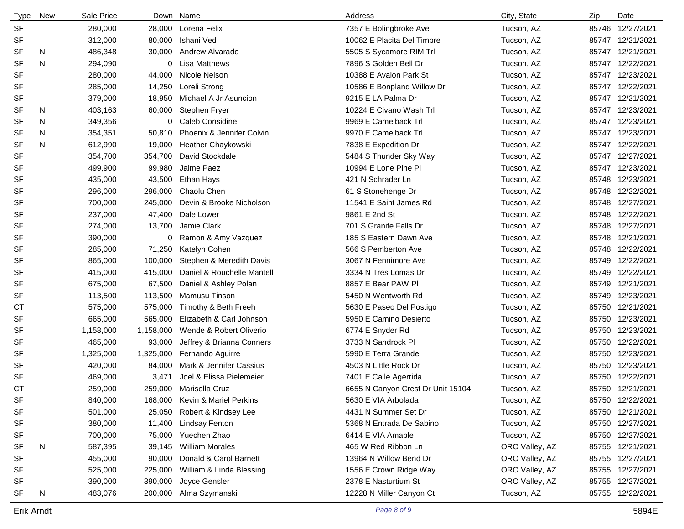| <b>Type</b> | <b>New</b> | Sale Price |           | Down Name                      | Address                           | City, State    | Zip   | Date             |
|-------------|------------|------------|-----------|--------------------------------|-----------------------------------|----------------|-------|------------------|
| <b>SF</b>   |            | 280,000    | 28,000    | Lorena Felix                   | 7357 E Bolingbroke Ave            | Tucson, AZ     |       | 85746 12/27/2021 |
| SF          |            | 312,000    | 80,000    | Ishani Ved                     | 10062 E Placita Del Timbre        | Tucson, AZ     |       | 85747 12/21/2021 |
| <b>SF</b>   | N          | 486,348    | 30,000    | Andrew Alvarado                | 5505 S Sycamore RIM Trl           | Tucson, AZ     |       | 85747 12/21/2021 |
| <b>SF</b>   | N          | 294,090    | 0         | <b>Lisa Matthews</b>           | 7896 S Golden Bell Dr             | Tucson, AZ     |       | 85747 12/22/2021 |
| <b>SF</b>   |            | 280,000    | 44,000    | Nicole Nelson                  | 10388 E Avalon Park St            | Tucson, AZ     |       | 85747 12/23/2021 |
| <b>SF</b>   |            | 285,000    | 14,250    | Loreli Strong                  | 10586 E Bonpland Willow Dr        | Tucson, AZ     |       | 85747 12/22/2021 |
| SF          |            | 379,000    | 18,950    | Michael A Jr Asuncion          | 9215 E LA Palma Dr                | Tucson, AZ     |       | 85747 12/21/2021 |
| <b>SF</b>   | N          | 403,163    | 60,000    | Stephen Fryer                  | 10224 E Civano Wash Trl           | Tucson, AZ     |       | 85747 12/23/2021 |
| <b>SF</b>   | N          | 349,356    | 0         | Caleb Considine                | 9969 E Camelback Trl              | Tucson, AZ     |       | 85747 12/23/2021 |
| <b>SF</b>   | N          | 354,351    | 50,810    | Phoenix & Jennifer Colvin      | 9970 E Camelback Trl              | Tucson, AZ     |       | 85747 12/23/2021 |
| <b>SF</b>   | N          | 612,990    | 19,000    | Heather Chaykowski             | 7838 E Expedition Dr              | Tucson, AZ     | 85747 | 12/22/2021       |
| <b>SF</b>   |            | 354,700    | 354,700   | David Stockdale                | 5484 S Thunder Sky Way            | Tucson, AZ     |       | 85747 12/27/2021 |
| SF          |            | 499,900    | 99,980    | Jaime Paez                     | 10994 E Lone Pine Pl              | Tucson, AZ     | 85747 | 12/23/2021       |
| <b>SF</b>   |            | 435,000    | 43,500    | Ethan Hays                     | 421 N Schrader Ln                 | Tucson, AZ     | 85748 | 12/23/2021       |
| <b>SF</b>   |            | 296,000    | 296,000   | Chaolu Chen                    | 61 S Stonehenge Dr                | Tucson, AZ     | 85748 | 12/22/2021       |
| <b>SF</b>   |            | 700,000    | 245,000   | Devin & Brooke Nicholson       | 11541 E Saint James Rd            | Tucson, AZ     | 85748 | 12/27/2021       |
| <b>SF</b>   |            | 237,000    | 47,400    | Dale Lower                     | 9861 E 2nd St                     | Tucson, AZ     | 85748 | 12/22/2021       |
| <b>SF</b>   |            | 274,000    | 13,700    | Jamie Clark                    | 701 S Granite Falls Dr            | Tucson, AZ     | 85748 | 12/27/2021       |
| <b>SF</b>   |            | 390,000    | 0         | Ramon & Amy Vazquez            | 185 S Eastern Dawn Ave            | Tucson, AZ     | 85748 | 12/21/2021       |
| SF          |            | 285,000    | 71,250    | Katelyn Cohen                  | 566 S Pemberton Ave               | Tucson, AZ     | 85748 | 12/22/2021       |
| <b>SF</b>   |            | 865,000    | 100,000   | Stephen & Meredith Davis       | 3067 N Fennimore Ave              | Tucson, AZ     | 85749 | 12/22/2021       |
| <b>SF</b>   |            | 415,000    | 415,000   | Daniel & Rouchelle Mantell     | 3334 N Tres Lomas Dr              | Tucson, AZ     |       | 85749 12/22/2021 |
| <b>SF</b>   |            | 675,000    | 67,500    | Daniel & Ashley Polan          | 8857 E Bear PAW PI                | Tucson, AZ     | 85749 | 12/21/2021       |
| <b>SF</b>   |            | 113,500    | 113,500   | Mamusu Tinson                  | 5450 N Wentworth Rd               | Tucson, AZ     | 85749 | 12/23/2021       |
| <b>CT</b>   |            | 575,000    | 575,000   | Timothy & Beth Freeh           | 5630 E Paseo Del Postigo          | Tucson, AZ     |       | 85750 12/21/2021 |
| <b>SF</b>   |            | 665,000    | 565,000   | Elizabeth & Carl Johnson       | 5950 E Camino Desierto            | Tucson, AZ     | 85750 | 12/23/2021       |
| <b>SF</b>   |            | 1,158,000  | 1,158,000 | Wende & Robert Oliverio        | 6774 E Snyder Rd                  | Tucson, AZ     |       | 85750 12/23/2021 |
| <b>SF</b>   |            | 465,000    | 93,000    | Jeffrey & Brianna Conners      | 3733 N Sandrock Pl                | Tucson, AZ     | 85750 | 12/22/2021       |
| <b>SF</b>   |            | 1,325,000  | 1,325,000 | Fernando Aguirre               | 5990 E Terra Grande               | Tucson, AZ     |       | 85750 12/23/2021 |
| <b>SF</b>   |            | 420,000    | 84,000    | Mark & Jennifer Cassius        | 4503 N Little Rock Dr             | Tucson, AZ     | 85750 | 12/23/2021       |
| <b>SF</b>   |            | 469,000    | 3,471     | Joel & Elissa Pielemeier       | 7401 E Calle Agerrida             | Tucson, AZ     |       | 85750 12/22/2021 |
| <b>CT</b>   |            | 259,000    | 259,000   | Marisella Cruz                 | 6655 N Canyon Crest Dr Unit 15104 | Tucson, AZ     |       | 85750 12/21/2021 |
| SF          |            | 840,000    |           | 168,000 Kevin & Mariel Perkins | 5630 E VIA Arbolada               | Tucson, AZ     |       | 85750 12/22/2021 |
| SF          |            | 501,000    |           | 25,050 Robert & Kindsey Lee    | 4431 N Summer Set Dr              | Tucson, AZ     |       | 85750 12/21/2021 |
| SF          |            | 380,000    | 11,400    | <b>Lindsay Fenton</b>          | 5368 N Entrada De Sabino          | Tucson, AZ     |       | 85750 12/27/2021 |
| SF          |            | 700,000    | 75,000    | Yuechen Zhao                   | 6414 E VIA Amable                 | Tucson, AZ     |       | 85750 12/27/2021 |
| SF          | N          | 587,395    | 39,145    | <b>William Morales</b>         | 465 W Red Ribbon Ln               | ORO Valley, AZ |       | 85755 12/21/2021 |
| SF          |            | 455,000    | 90,000    | Donald & Carol Barnett         | 13964 N Willow Bend Dr            | ORO Valley, AZ |       | 85755 12/27/2021 |
| SF          |            | 525,000    | 225,000   | William & Linda Blessing       | 1556 E Crown Ridge Way            | ORO Valley, AZ |       | 85755 12/27/2021 |
| SF          |            | 390,000    | 390,000   | Joyce Gensler                  | 2378 E Nasturtium St              | ORO Valley, AZ |       | 85755 12/27/2021 |
| SF          | N          | 483,076    | 200,000   | Alma Szymanski                 | 12228 N Miller Canyon Ct          | Tucson, AZ     |       | 85755 12/22/2021 |